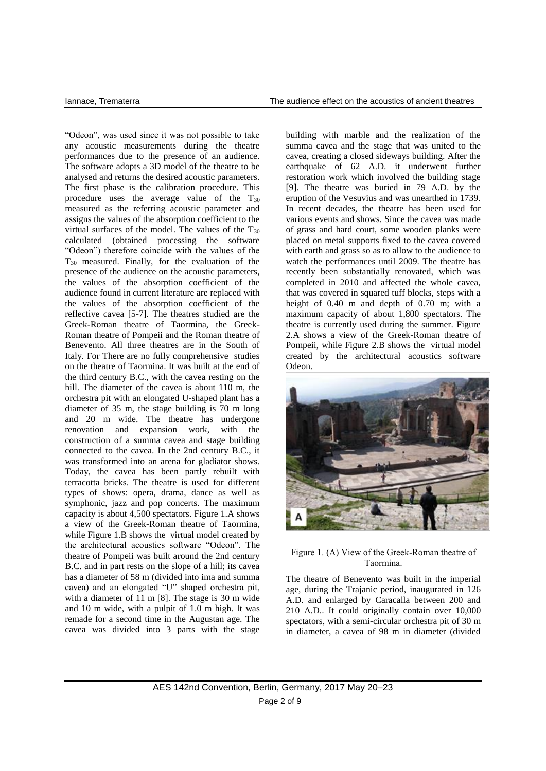"Odeon", was used since it was not possible to take any acoustic measurements during the theatre performances due to the presence of an audience. The software adopts a 3D model of the theatre to be analysed and returns the desired acoustic parameters. The first phase is the calibration procedure. This procedure uses the average value of the  $T_{30}$ measured as the referring acoustic parameter and assigns the values of the absorption coefficient to the virtual surfaces of the model. The values of the  $T_{30}$ calculated (obtained processing the software "Odeon") therefore coincide with the values of the T<sup>30</sup> measured. Finally, for the evaluation of the presence of the audience on the acoustic parameters, the values of the absorption coefficient of the audience found in current literature are replaced with the values of the absorption coefficient of the reflective cavea [5-7]. The theatres studied are the Greek-Roman theatre of Taormina, the Greek-Roman theatre of Pompeii and the Roman theatre of Benevento. All three theatres are in the South of Italy. For There are no fully comprehensive studies on the theatre of Taormina. It was built at the end of the third century B.C., with the cavea resting on the hill. The diameter of the cavea is about 110 m, the orchestra pit with an elongated U-shaped plant has a diameter of 35 m, the stage building is 70 m long and 20 m wide. The theatre has undergone renovation and expansion work, with the construction of a summa cavea and stage building connected to the cavea. In the 2nd century B.C., it was transformed into an arena for gladiator shows. Today, the cavea has been partly rebuilt with terracotta bricks. The theatre is used for different types of shows: opera, drama, dance as well as symphonic, jazz and pop concerts. The maximum capacity is about 4,500 spectators. Figure 1.A shows a view of the Greek-Roman theatre of Taormina, while Figure 1.B shows the virtual model created by the architectural acoustics software "Odeon". The theatre of Pompeii was built around the 2nd century B.C. and in part rests on the slope of a hill; its cavea has a diameter of 58 m (divided into ima and summa cavea) and an elongated "U" shaped orchestra pit, with a diameter of 11 m [8]. The stage is 30 m wide and 10 m wide, with a pulpit of 1.0 m high. It was remade for a second time in the Augustan age. The cavea was divided into 3 parts with the stage

building with marble and the realization of the summa cavea and the stage that was united to the cavea, creating a closed sideways building. After the earthquake of 62 A.D. it underwent further restoration work which involved the building stage [9]. The theatre was buried in 79 A.D. by the eruption of the Vesuvius and was unearthed in 1739. In recent decades, the theatre has been used for various events and shows. Since the cavea was made of grass and hard court, some wooden planks were placed on metal supports fixed to the cavea covered with earth and grass so as to allow to the audience to watch the performances until 2009. The theatre has recently been substantially renovated, which was completed in 2010 and affected the whole cavea, that was covered in squared tuff blocks, steps with a height of 0.40 m and depth of 0.70 m; with a maximum capacity of about 1,800 spectators. The theatre is currently used during the summer. Figure 2.A shows a view of the Greek-Roman theatre of Pompeii, while Figure 2.B shows the virtual model created by the architectural acoustics software Odeon.



Figure 1. (A) View of the Greek-Roman theatre of Taormina.

The theatre of Benevento was built in the imperial age, during the Trajanic period, inaugurated in 126 A.D. and enlarged by Caracalla between 200 and 210 A.D.. It could originally contain over 10,000 spectators, with a semi-circular orchestra pit of 30 m in diameter, a cavea of 98 m in diameter (divided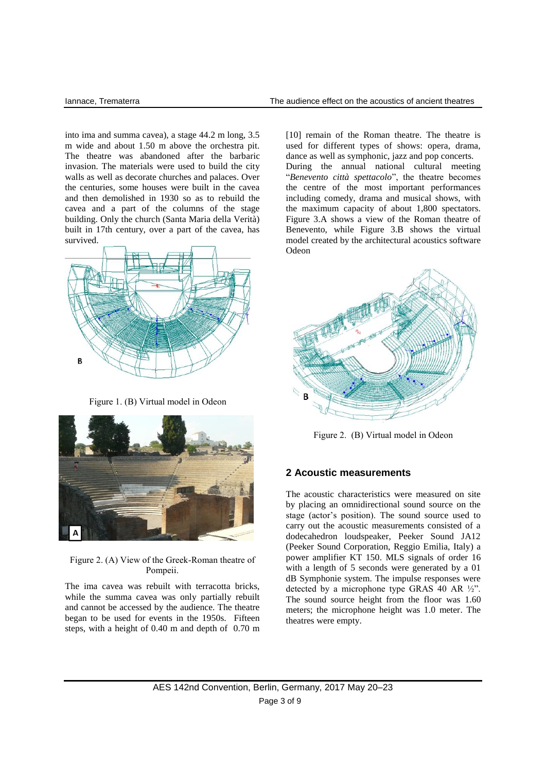into ima and summa cavea), a stage 44.2 m long, 3.5 m wide and about 1.50 m above the orchestra pit. The theatre was abandoned after the barbaric invasion. The materials were used to build the city walls as well as decorate churches and palaces. Over the centuries, some houses were built in the cavea and then demolished in 1930 so as to rebuild the cavea and a part of the columns of the stage building. Only the church (Santa Maria della Verità) built in 17th century, over a part of the cavea, has survived.



Figure 1. (B) Virtual model in Odeon



Figure 2. (A) View of the Greek-Roman theatre of Pompeii.

The ima cavea was rebuilt with terracotta bricks, while the summa cavea was only partially rebuilt and cannot be accessed by the audience. The theatre began to be used for events in the 1950s. Fifteen steps, with a height of 0.40 m and depth of 0.70 m [10] remain of the Roman theatre. The theatre is used for different types of shows: opera, drama, dance as well as symphonic, jazz and pop concerts. During the annual national cultural meeting "*Benevento città spettacolo*", the theatre becomes the centre of the most important performances including comedy, drama and musical shows, with the maximum capacity of about 1,800 spectators. Figure 3.A shows a view of the Roman theatre of Benevento, while Figure 3.B shows the virtual model created by the architectural acoustics software Odeon



Figure 2. (B) Virtual model in Odeon

#### **2 Acoustic measurements**

The acoustic characteristics were measured on site by placing an omnidirectional sound source on the stage (actor's position). The sound source used to carry out the acoustic measurements consisted of a dodecahedron loudspeaker, Peeker Sound JA12 (Peeker Sound Corporation, Reggio Emilia, Italy) a power amplifier KT 150. MLS signals of order 16 with a length of 5 seconds were generated by a 01 dB Symphonie system. The impulse responses were detected by a microphone type GRAS 40 AR ½". The sound source height from the floor was 1.60 meters; the microphone height was 1.0 meter. The theatres were empty.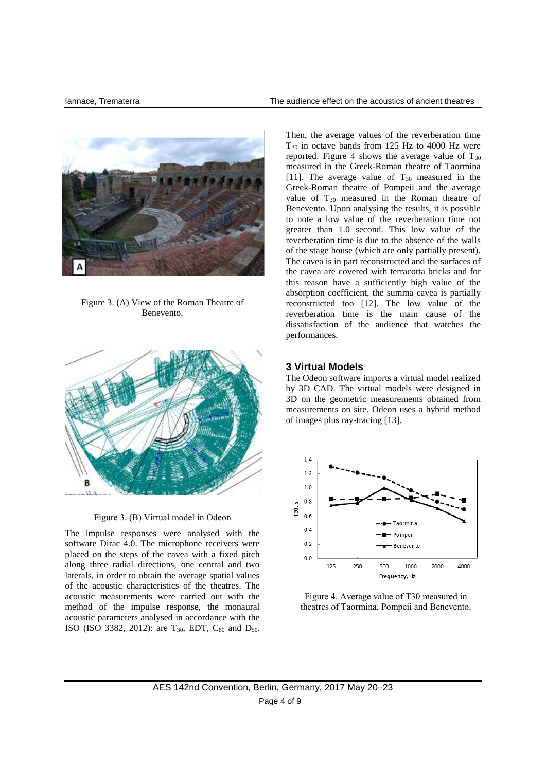

Figure 3. (A) View of the Roman Theatre of Benevento.



Figure 3. (B) Virtual model in Odeon

The impulse responses were analysed with the software Dirac 4.0. The microphone receivers were placed on the steps of the cavea with a fixed pitch along three radial directions, one central and two laterals, in order to obtain the average spatial values of the acoustic characteristics of the theatres. The acoustic measurements were carried out with the method of the impulse response, the monaural acoustic parameters analysed in accordance with the ISO (ISO 3382, 2012): are  $T_{30}$ , EDT,  $C_{80}$  and  $D_{50}$ . Then, the average values of the reverberation time T<sup>30</sup> in octave bands from 125 Hz to 4000 Hz were reported. Figure 4 shows the average value of  $T_{30}$ measured in the Greek-Roman theatre of Taormina [11]. The average value of  $T_{30}$  measured in the Greek-Roman theatre of Pompeii and the average value of  $T_{30}$  measured in the Roman theatre of Benevento. Upon analysing the results, it is possible to note a low value of the reverberation time not greater than 1.0 second. This low value of the reverberation time is due to the absence of the walls of the stage house (which are only partially present). The cavea is in part reconstructed and the surfaces of the cavea are covered with terracotta bricks and for this reason have a sufficiently high value of the absorption coefficient, the summa cavea is partially reconstructed too [12]. The low value of the reverberation time is the main cause of the dissatisfaction of the audience that watches the performances.

# **3 Virtual Models**

The Odeon software imports a virtual model realized by 3D CAD. The virtual models were designed in 3D on the geometric measurements obtained from measurements on site. Odeon uses a hybrid method of images plus ray-tracing [13].



Figure 4. Average value of T30 measured in theatres of Taormina, Pompeii and Benevento.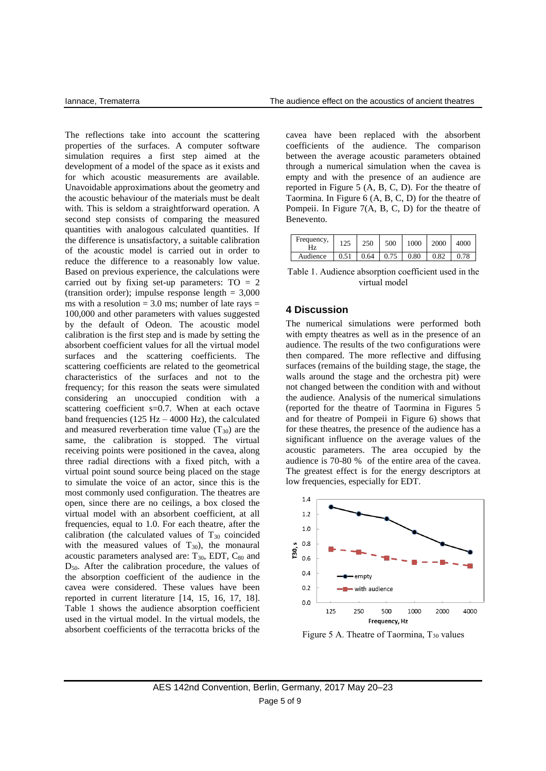The reflections take into account the scattering properties of the surfaces. A computer software simulation requires a first step aimed at the development of a model of the space as it exists and for which acoustic measurements are available. Unavoidable approximations about the geometry and the acoustic behaviour of the materials must be dealt with. This is seldom a straightforward operation. A second step consists of comparing the measured quantities with analogous calculated quantities. If the difference is unsatisfactory, a suitable calibration of the acoustic model is carried out in order to reduce the difference to a reasonably low value. Based on previous experience, the calculations were carried out by fixing set-up parameters:  $TO = 2$ (transition order); impulse response length  $= 3,000$ ms with a resolution  $= 3.0$  ms; number of late rays  $=$ 100,000 and other parameters with values suggested by the default of Odeon. The acoustic model calibration is the first step and is made by setting the absorbent coefficient values for all the virtual model surfaces and the scattering coefficients. The scattering coefficients are related to the geometrical characteristics of the surfaces and not to the frequency; for this reason the seats were simulated considering an unoccupied condition with a scattering coefficient s=0.7. When at each octave band frequencies (125 Hz  $-$  4000 Hz), the calculated and measured reverberation time value  $(T_{30})$  are the same, the calibration is stopped. The virtual receiving points were positioned in the cavea, along three radial directions with a fixed pitch, with a virtual point sound source being placed on the stage to simulate the voice of an actor, since this is the most commonly used configuration. The theatres are open, since there are no ceilings, a box closed the virtual model with an absorbent coefficient, at all frequencies, equal to 1.0. For each theatre, after the calibration (the calculated values of  $T_{30}$  coincided with the measured values of  $T_{30}$ ), the monaural acoustic parameters analysed are:  $T_{30}$ , EDT,  $C_{80}$  and D50. After the calibration procedure, the values of the absorption coefficient of the audience in the cavea were considered. These values have been reported in current literature [14, 15, 16, 17, 18]. Table 1 shows the audience absorption coefficient used in the virtual model. In the virtual models, the absorbent coefficients of the terracotta bricks of the cavea have been replaced with the absorbent coefficients of the audience. The comparison between the average acoustic parameters obtained through a numerical simulation when the cavea is empty and with the presence of an audience are reported in Figure 5 (A, B, C, D). For the theatre of Taormina. In Figure 6 (A, B, C, D) for the theatre of Pompeii. In Figure 7(A, B, C, D) for the theatre of Benevento.

| Frequency,<br>Hz | 125  | 250  | 500  | 1000 | 2000 | 4000 |
|------------------|------|------|------|------|------|------|
| Audience         | 0.51 | 0.64 | 0.75 | 0.80 | 0.82 | 0.78 |

Table 1. Audience absorption coefficient used in the virtual model

### **4 Discussion**

The numerical simulations were performed both with empty theatres as well as in the presence of an audience. The results of the two configurations were then compared. The more reflective and diffusing surfaces (remains of the building stage, the stage, the walls around the stage and the orchestra pit) were not changed between the condition with and without the audience. Analysis of the numerical simulations (reported for the theatre of Taormina in Figures 5 and for theatre of Pompeii in Figure 6) shows that for these theatres, the presence of the audience has a significant influence on the average values of the acoustic parameters. The area occupied by the audience is 70-80 % of the entire area of the cavea. The greatest effect is for the energy descriptors at low frequencies, especially for EDT.



Figure 5 A. Theatre of Taormina, T<sub>30</sub> values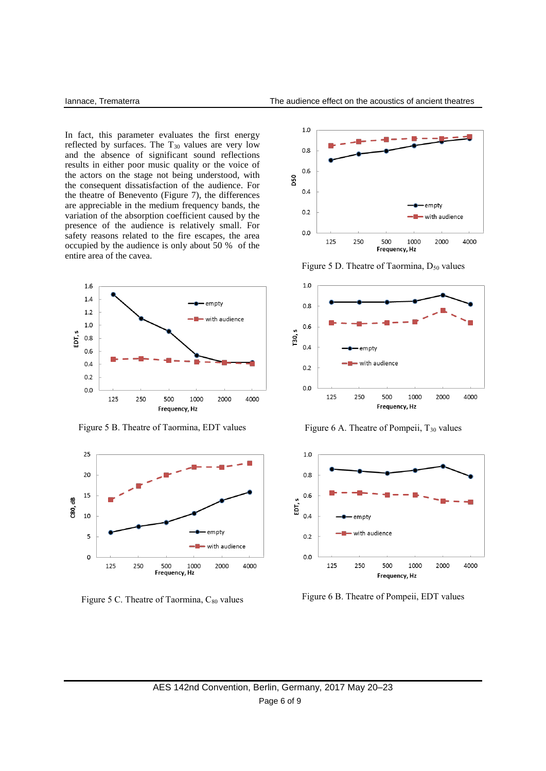In fact, this parameter evaluates the first energy reflected by surfaces. The  $T_{30}$  values are very low and the absence of significant sound reflections results in either poor music quality or the voice of the actors on the stage not being understood, with the consequent dissatisfaction of the audience. For the theatre of Benevento (Figure 7), the differences are appreciable in the medium frequency bands, the variation of the absorption coefficient caused by the presence of the audience is relatively small. For safety reasons related to the fire escapes, the area occupied by the audience is only about 50 % of the entire area of the cavea.



Figure 5 B. Theatre of Taormina, EDT values



Figure 5 C. Theatre of Taormina, C<sub>80</sub> values



Figure 5 D. Theatre of Taormina, D<sub>50</sub> values



Figure 6 A. Theatre of Pompeii,  $T_{30}$  values



Figure 6 B. Theatre of Pompeii, EDT values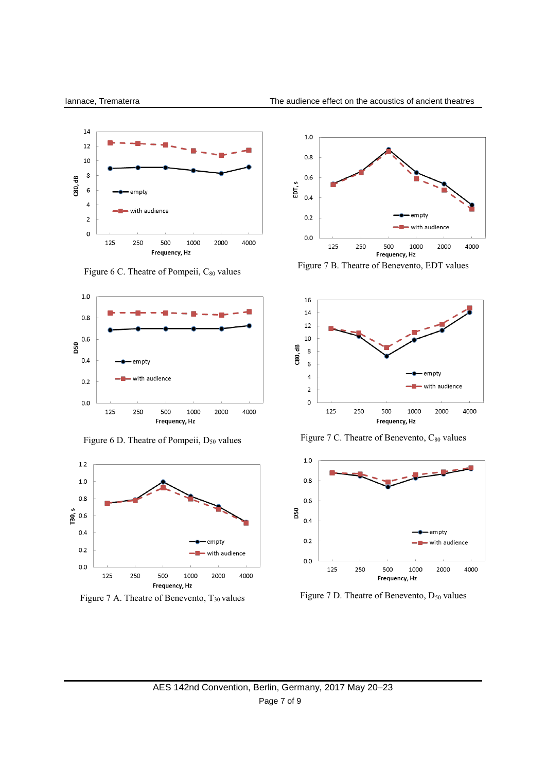

Figure 6 C. Theatre of Pompeii, C80 values



Figure 6 D. Theatre of Pompeii, D<sub>50</sub> values



Figure 7 A. Theatre of Benevento, T<sub>30</sub> values



Figure 7 B. Theatre of Benevento, EDT values



Figure 7 C. Theatre of Benevento, C<sub>80</sub> values



Figure 7 D. Theatre of Benevento,  $D_{50}$  values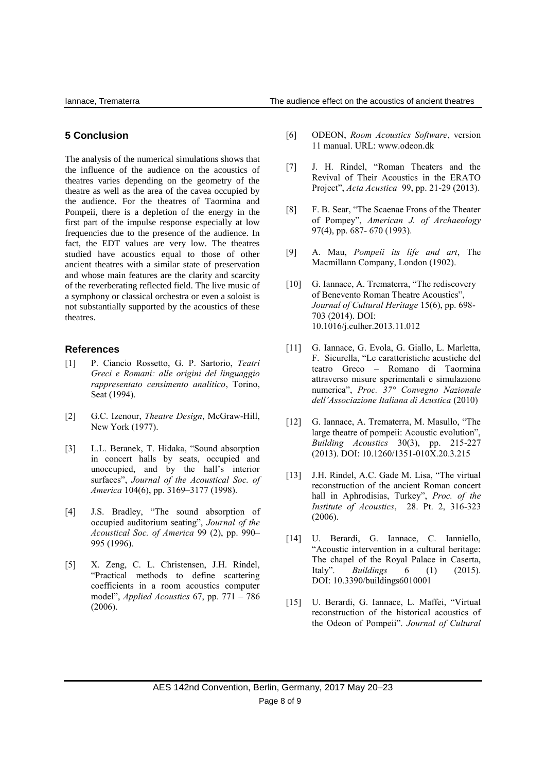# **5 Conclusion**

The analysis of the numerical simulations shows that the influence of the audience on the acoustics of theatres varies depending on the geometry of the theatre as well as the area of the cavea occupied by the audience. For the theatres of Taormina and Pompeii, there is a depletion of the energy in the first part of the impulse response especially at low frequencies due to the presence of the audience. In fact, the EDT values are very low. The theatres studied have acoustics equal to those of other ancient theatres with a similar state of preservation and whose main features are the clarity and scarcity of the reverberating reflected field. The live music of a symphony or classical orchestra or even a soloist is not substantially supported by the acoustics of these theatres.

# **References**

- [1] P. Ciancio Rossetto, G. P. Sartorio, *Teatri Greci e Romani: alle origini del linguaggio rappresentato censimento analitico*, Torino, Seat (1994).
- [2] G.C. Izenour, *Theatre Design*, McGraw-Hill, New York (1977).
- [3] L.L. Beranek, T. Hidaka, "Sound absorption in concert halls by seats, occupied and unoccupied, and by the hall's interior surfaces", *Journal of the Acoustical Soc. of America* 104(6), pp. 3169–3177 (1998).
- [4] J.S. Bradley, "The sound absorption of occupied auditorium seating", *Journal of the Acoustical Soc. of America* 99 (2), pp. 990– 995 (1996).
- [5] X. Zeng, C. L. Christensen, J.H. Rindel, "Practical methods to define scattering coefficients in a room acoustics computer model", *Applied Acoustics* 67, pp. 771 – 786 (2006).
- [6] ODEON, *Room Acoustics Software*, version 11 manual. URL: [www.odeon.dk](http://www.odeon.dk/)
- [7] J. H. Rindel, "Roman Theaters and the Revival of Their Acoustics in the ERATO Project", *Acta Acustica* 99, pp. 21-29 (2013).
- [8] F. B. Sear, "The Scaenae Frons of the Theater of Pompey", *American J. of Archaeology* 97(4), pp. 687- 670 (1993).
- [9] A. Mau, *Pompeii its life and art*, The Macmillann Company, London (1902).
- [10] G. Iannace, A. Trematerra, "The rediscovery of Benevento Roman Theatre Acoustics", *Journal of Cultural Heritage* 15(6), pp. 698- 703 (2014). DOI: 10.1016/j.culher.2013.11.012
- [11] G. Iannace, G. Evola, G. Giallo, L. Marletta, F. Sicurella, "Le caratteristiche acustiche del teatro Greco – Romano di Taormina attraverso misure sperimentali e simulazione numerica", *Proc. 37° Convegno Nazionale dell'Associazione Italiana di Acustica* (2010)
- [12] G. Iannace, A. Trematerra, M. Masullo, "The large theatre of pompeii: Acoustic evolution", *Building Acoustics* 30(3), pp. 215-227 (2013). DOI: 10.1260/1351-010X.20.3.215
- [13] J.H. Rindel, A.C. Gade M. Lisa, "The virtual reconstruction of the ancient Roman concert hall in Aphrodisias, Turkey", *Proc. of the Institute of Acoustics*, 28. Pt. 2, 316-323 (2006).
- [14] U. Berardi, G. Iannace, C. Ianniello, "Acoustic intervention in a cultural heritage: The chapel of the Royal Palace in Caserta, Italy". *Buildings* 6 (1) (2015). DOI: 10.3390/buildings6010001
- [15] U. Berardi, G. Iannace, L. Maffei, "Virtual reconstruction of the historical acoustics of the Odeon of Pompeii". *Journal of Cultural*